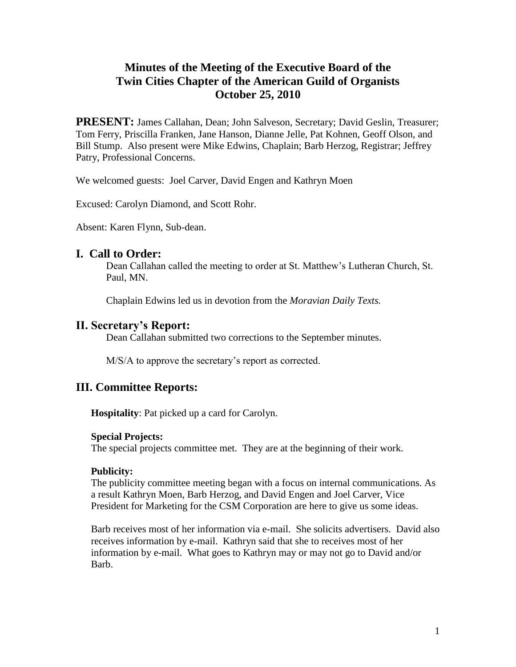# **Minutes of the Meeting of the Executive Board of the Twin Cities Chapter of the American Guild of Organists October 25, 2010**

**PRESENT:** James Callahan, Dean; John Salveson, Secretary; David Geslin, Treasurer; Tom Ferry, Priscilla Franken, Jane Hanson, Dianne Jelle, Pat Kohnen, Geoff Olson, and Bill Stump. Also present were Mike Edwins, Chaplain; Barb Herzog, Registrar; Jeffrey Patry, Professional Concerns.

We welcomed guests: Joel Carver, David Engen and Kathryn Moen

Excused: Carolyn Diamond, and Scott Rohr.

Absent: Karen Flynn, Sub-dean.

### **I. Call to Order:**

Dean Callahan called the meeting to order at St. Matthew's Lutheran Church, St. Paul, MN.

Chaplain Edwins led us in devotion from the *Moravian Daily Texts.*

## **II. Secretary's Report:**

Dean Callahan submitted two corrections to the September minutes.

M/S/A to approve the secretary's report as corrected.

## **III. Committee Reports:**

**Hospitality**: Pat picked up a card for Carolyn.

### **Special Projects:**

The special projects committee met. They are at the beginning of their work.

### **Publicity:**

The publicity committee meeting began with a focus on internal communications. As a result Kathryn Moen, Barb Herzog, and David Engen and Joel Carver, Vice President for Marketing for the CSM Corporation are here to give us some ideas.

Barb receives most of her information via e-mail. She solicits advertisers. David also receives information by e-mail. Kathryn said that she to receives most of her information by e-mail. What goes to Kathryn may or may not go to David and/or Barb.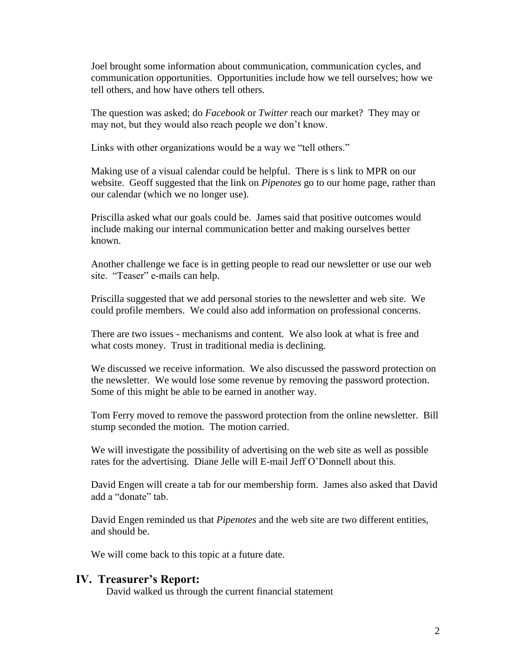Joel brought some information about communication, communication cycles, and communication opportunities. Opportunities include how we tell ourselves; how we tell others, and how have others tell others.

The question was asked; do *Facebook* or *Twitter* reach our market? They may or may not, but they would also reach people we don't know.

Links with other organizations would be a way we "tell others."

Making use of a visual calendar could be helpful. There is s link to MPR on our website. Geoff suggested that the link on *Pipenotes* go to our home page, rather than our calendar (which we no longer use).

Priscilla asked what our goals could be. James said that positive outcomes would include making our internal communication better and making ourselves better known.

Another challenge we face is in getting people to read our newsletter or use our web site. "Teaser" e-mails can help.

Priscilla suggested that we add personal stories to the newsletter and web site. We could profile members. We could also add information on professional concerns.

There are two issues - mechanisms and content. We also look at what is free and what costs money. Trust in traditional media is declining.

We discussed we receive information. We also discussed the password protection on the newsletter. We would lose some revenue by removing the password protection. Some of this might be able to be earned in another way.

Tom Ferry moved to remove the password protection from the online newsletter. Bill stump seconded the motion. The motion carried.

We will investigate the possibility of advertising on the web site as well as possible rates for the advertising. Diane Jelle will E-mail Jeff O'Donnell about this.

David Engen will create a tab for our membership form. James also asked that David add a "donate" tab.

David Engen reminded us that *Pipenotes* and the web site are two different entities, and should be.

We will come back to this topic at a future date.

#### **IV. Treasurer's Report:**

David walked us through the current financial statement